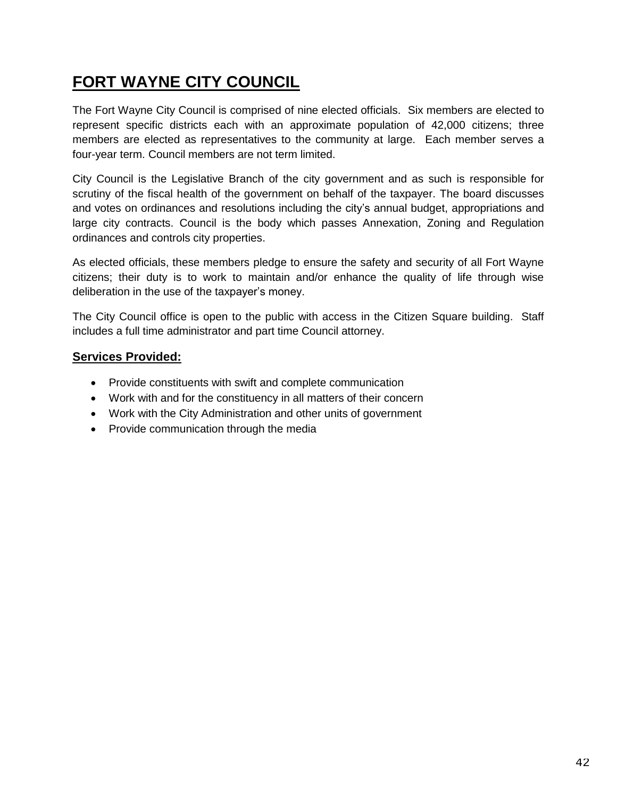## **FORT WAYNE CITY COUNCIL**

The Fort Wayne City Council is comprised of nine elected officials. Six members are elected to represent specific districts each with an approximate population of 42,000 citizens; three members are elected as representatives to the community at large. Each member serves a four-year term. Council members are not term limited.

City Council is the Legislative Branch of the city government and as such is responsible for scrutiny of the fiscal health of the government on behalf of the taxpayer. The board discusses and votes on ordinances and resolutions including the city's annual budget, appropriations and large city contracts. Council is the body which passes Annexation, Zoning and Regulation ordinances and controls city properties.

As elected officials, these members pledge to ensure the safety and security of all Fort Wayne citizens; their duty is to work to maintain and/or enhance the quality of life through wise deliberation in the use of the taxpayer's money.

The City Council office is open to the public with access in the Citizen Square building. Staff includes a full time administrator and part time Council attorney.

## **Services Provided:**

- Provide constituents with swift and complete communication
- Work with and for the constituency in all matters of their concern
- Work with the City Administration and other units of government
- Provide communication through the media